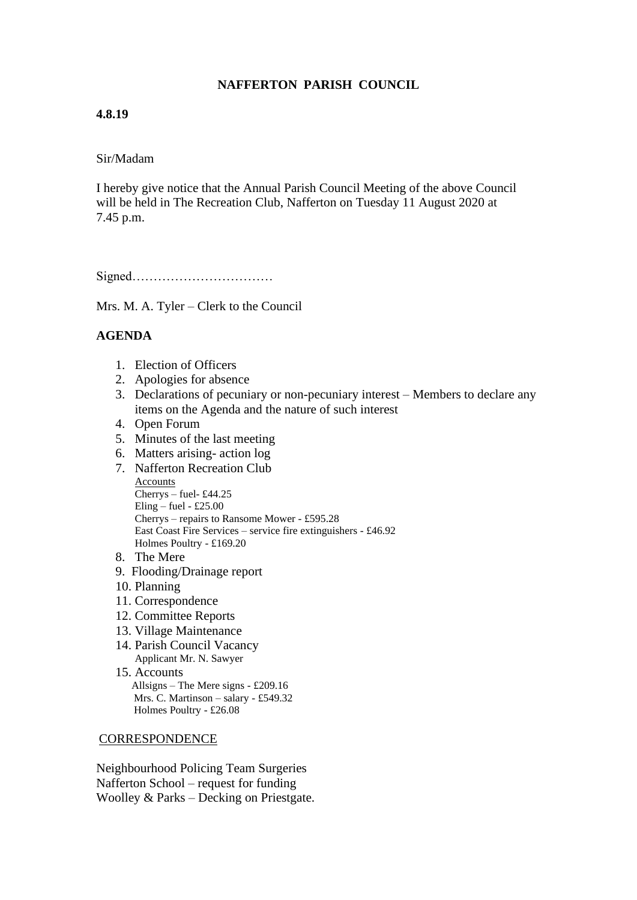# **NAFFERTON PARISH COUNCIL**

## **4.8.19**

### Sir/Madam

I hereby give notice that the Annual Parish Council Meeting of the above Council will be held in The Recreation Club, Nafferton on Tuesday 11 August 2020 at 7.45 p.m.

Signed……………………………

Mrs. M. A. Tyler – Clerk to the Council

## **AGENDA**

- 1. Election of Officers
- 2. Apologies for absence
- 3. Declarations of pecuniary or non-pecuniary interest Members to declare any items on the Agenda and the nature of such interest
- 4. Open Forum
- 5. Minutes of the last meeting
- 6. Matters arising- action log
- 7. Nafferton Recreation Club **Accounts** Cherrys – fuel- £44.25 Eling – fuel -  $£25.00$ Cherrys – repairs to Ransome Mower - £595.28 East Coast Fire Services – service fire extinguishers - £46.92 Holmes Poultry - £169.20
- 8. The Mere
- 9. Flooding/Drainage report
- 10. Planning
- 11. Correspondence
- 12. Committee Reports
- 13. Village Maintenance
- 14. Parish Council Vacancy Applicant Mr. N. Sawyer
- 15. Accounts Allsigns – The Mere signs - £209.16 Mrs. C. Martinson – salary - £549.32 Holmes Poultry - £26.08

#### **CORRESPONDENCE**

Neighbourhood Policing Team Surgeries Nafferton School – request for funding Woolley & Parks – Decking on Priestgate.